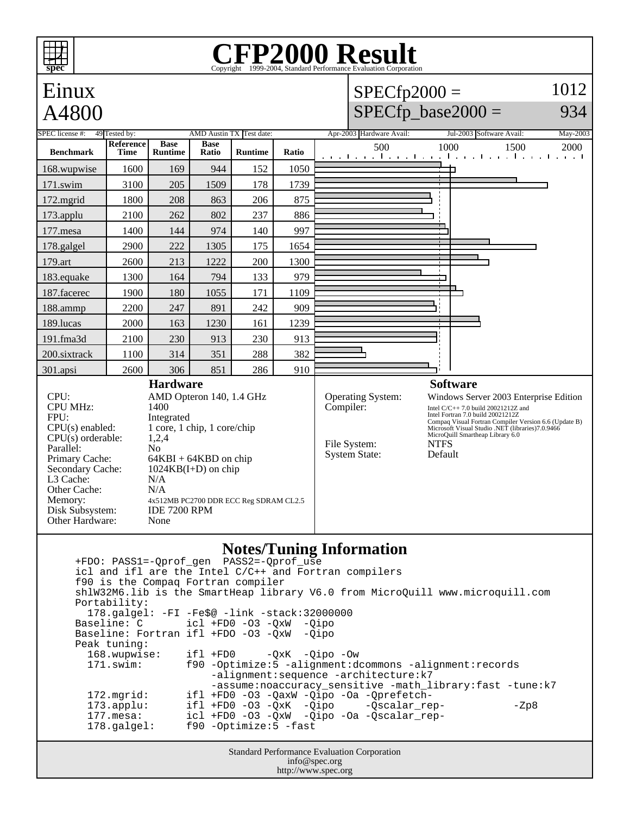## **CFP2000 Result spec** Copyright  $©1999-2004$ , Standard P 1012 Einux  $SPECfp2000 =$ A4800  $SPECfp\_base2000 =$ 934 SPEC license #: 49 Tested by: AMD Austin TX Test date: Apr-2003 Hardware Avail: Jul-2003 Software Avail: May-2003 **Reference Base Base Ratio Runtime Ratio** 500 1000 1500 2000 **Benchmark Runtime Time** 168.wupwise 1600 169 944 152 1050 ┑ 171.swim | 3100 | 205 | 1509 | 178 | 1739 172.mgrid | 1800 | 208 | 863 | 206 | 875 173.applu | 2100 | 262 | 802 | 237 | 886 177.mesa | 1400 | 144 | 974 | 140 | 997 178.galgel | 2900 | 222 | 1305 | 175 | 1654 179.art 2600 213 1222 200 1300 183.equake 1300 164 794 133 979 187.facerec | 1900 | 180 | 1055 | 171 | 1109 188.ammp | 2200 | 247 | 891 | 242 | 909 189.lucas | 2000 | 163 | 1230 | 161 | 1239 191.fma3d 2100 230 913 230 913 200.sixtrack 1100 314 351 288 382 301.apsi 2600 306 851 286 910 **Hardware Software** CPU: AMD Opteron 140, 1.4 GHz Operating System: Windows Server 2003 Enterprise Edition<br>Compiler: Intel C/C++ 7.0 build 20021212Z and CPU MHz: 1400 Intel C/C++ 7.0 build  $20021212Z$  and Intel Fortran 7.0 build 20021212Z Compaq Visual Fortran Compiler Version 6.6 (Update B) FPU: Integrated CPU(s) enabled: 1 core, 1 chip, 1 core/chip Microsoft Visual Studio .NET (libraries)7.0.9466 MicroQuill Smartheap Library 6.0  $CPU(s)$  orderable:  $1,2,4$ File System: NTFS<br>System State: Default Parallel: No<br>Primary Cache: 64F System State:  $64KBI + 64KBD$  on chip Secondary Cache: 1024KB(I+D) on chip<br>L3 Cache:  $N/A$ L3 Cache: N/A<br>Other Cache: N/A Other Cache: Memory: 4x512MB PC2700 DDR ECC Reg SDRAM CL2.5 Disk Subsystem: IDE 7200 RPM Other Hardware: None **Notes/Tuning Information**

Standard Performance Evaluation Corporation +FDO: PASS1=-Qprof\_gen PASS2=-Qprof\_use icl and ifl are the Intel C/C++ and Fortran compilers f90 is the Compaq Fortran compiler shlW32M6.lib is the SmartHeap library V6.0 from MicroQuill www.microquill.com Portability: 178.galgel: -FI -Fe\$@ -link -stack:32000000 Baseline: C icl +FD0 -O3 -QxW -Qipo Baseline: Fortran ifl +FDO -O3 -QxW -Qipo Peak tuning: 168.wupwise: ifl +FD0 -QxK -Qipo -Ow 171.swim: f90 -Optimize:5 -alignment:dcommons -alignment:records -alignment:sequence -architecture:k7 -assume:noaccuracy\_sensitive -math\_library:fast -tune:k7<br>172.mgrid: ifl +FD0 -03 -OaxW -Oipo -Oa -Oprefetch- 172.mgrid: ifl +FD0 -O3 -QaxW -Qipo -Oa -Qprefetch- 173.applu: ifl +FD0 -O3 -QxK -Qipo -Qscalar\_rep- - -Zp8 177.mesa: icl +FD0 -O3 -QxW -Qipo -Oa -Qscalar\_rep- 178.galgel: f90 -Optimize:5 -fast

info@spec.org http://www.spec.org